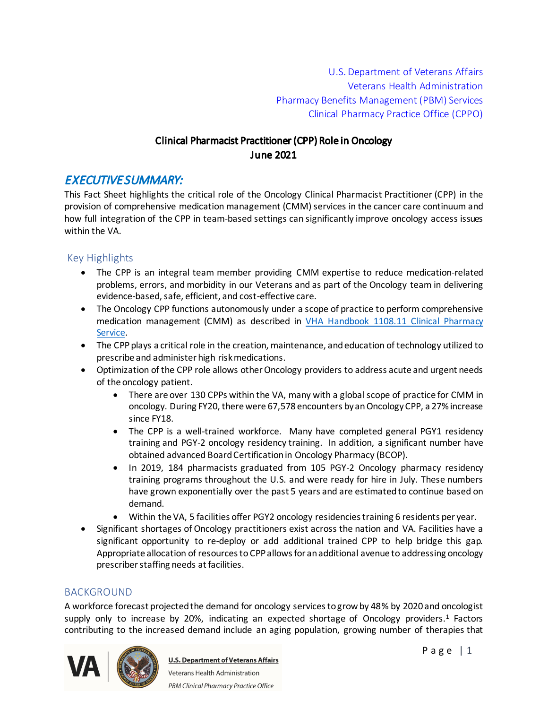U.S. Department of Veterans Affairs Veterans Health Administration Pharmacy Benefits Management (PBM) Services Clinical Pharmacy Practice Office (CPPO)

# Clinical Pharmacist Practitioner (CPP) Role in Oncology June 2021

# EXECUTIVE SUMMARY:

This Fact Sheet highlights the critical role of the Oncology Clinical Pharmacist Practitioner (CPP) in the provision of comprehensive medication management (CMM) services in the cancer care continuum and how full integration of the CPP in team-based settings can significantly improve oncology access issues within the VA.

## Key Highlights

- · The CPP is an integral team member providing CMM expertise to reduce medication-related problems, errors, and morbidity in our Veterans and as part of the Oncology team in delivering evidence-based, safe, efficient, and cost-effective care.
- The Oncology CPP functions autonomously under a scope of practice to perform comprehensive medication management (CMM) as described in [VHA Handbook 1108.11 Clinical Pharmacy](http://vaww.va.gov/vhapublications/ViewPublication.asp?pub_ID=3120)  [Service](http://vaww.va.gov/vhapublications/ViewPublication.asp?pub_ID=3120).
- The CPP plays a critical role in the creation, maintenance, and education of technology utilized to prescribe and administer high risk medications.
- · Optimization of the CPP role allows other Oncology providers to address acute and urgent needs of the oncology patient.
	- There are over 130 CPPs within the VA, many with a global scope of practice for CMM in oncology. During FY20, there were 67,578 encounters by an Oncology CPP, a 27% increase since FY18.
	- The CPP is a well-trained workforce. Many have completed general PGY1 residency training and PGY-2 oncology residency training. In addition, a significant number have obtained advanced Board Certification in Oncology Pharmacy (BCOP).
	- · In 2019, 184 pharmacists graduated from 105 PGY-2 Oncology pharmacy residency training programs throughout the U.S. and were ready for hire in July. These numbers have grown exponentially over the past 5 years and are estimated to continue based on demand.
	- · Within the VA, 5 facilities offer PGY2 oncology residencies training 6 residents per year.
- · Significant shortages of Oncology practitioners exist across the nation and VA. Facilities have a significant opportunity to re-deploy or add additional trained CPP to help bridge this gap. Appropriate allocation of resources to CPPallows for an additional avenue to addressing oncology prescriber staffing needs at facilities.

#### BACKGROUND

A workforce forecast projected the demand for oncology services to grow by 48% by 2020 and oncologist supply only to increase by 20%, indicating an expected shortage of Oncology providers.<sup>1</sup> Factors contributing to the increased demand include an aging population, growing number of therapies that



**U.S. Department of Veterans Affairs** Veterans Health Administration PBM Clinical Pharmacy Practice Office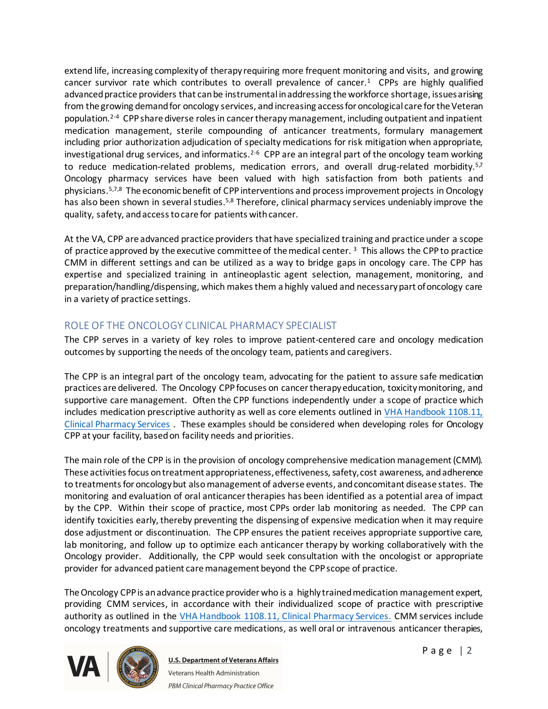extend life, increasing complexity of therapy requiring more frequent monitoring and visits, and growing cancer survivor rate which contributes to overall prevalence of cancer.<sup>1</sup> CPPs are highly qualified advanced practice providers that can be instrumental in addressing the workforce shortage, issues arising from the growing demand for oncology services, and increasing access for oncological care for the Veteran population. 2-4 CPPshare diverse roles in cancer therapy management, including outpatient and inpatient medication management, sterile compounding of anticancer treatments, formulary management including prior authorization adjudication of specialty medications for risk mitigation when appropriate, investigational drug services, and informatics.<sup>2-6</sup> CPP are an integral part of the oncology team working to reduce medication-related problems, medication errors, and overall drug-related morbidity.<sup>5,7</sup> Oncology pharmacy services have been valued with high satisfaction from both patients and physicians.<sup>5,7,8</sup> The economic benefit of CPP interventions and process improvement projects in Oncology has also been shown in several studies.<sup>5,8</sup> Therefore, clinical pharmacy services undeniably improve the quality, safety, and access to care for patients with cancer.

At the VA, CPP are advanced practice providers that have specialized training and practice under a scope of practice approved by the executive committee of the medical center.<sup>3</sup> This allows the CPP to practice CMM in different settings and can be utilized as a way to bridge gaps in oncology care. The CPP has expertise and specialized training in antineoplastic agent selection, management, monitoring, and preparation/handling/dispensing, which makes them a highly valued and necessary part of oncology care in a variety of practice settings.

# ROLE OF THE ONCOLOGY CLINICAL PHARMACY SPECIALIST

The CPP serves in a variety of key roles to improve patient-centered care and oncology medication outcomes by supporting the needs of the oncology team, patients and caregivers.

The CPP is an integral part of the oncology team, advocating for the patient to assure safe medication practices are delivered. The Oncology CPPfocuses on cancer therapy education, toxicity monitoring, and supportive care management. Often the CPP functions independently under a scope of practice which includes medication prescriptive authority as well as core elements outlined in  $VHA$  Handbook 1108.11, [Clinical Pharmacy Services](https://www.va.gov/vhapublications/ViewPublication.asp?pub_ID=3120) . These examples should be considered when developing roles for Oncology CPP at your facility, based on facility needs and priorities.

The main role of the CPP is in the provision of oncology comprehensive medication management(CMM). These activities focus on treatment appropriateness, effectiveness, safety, cost awareness, and adherence to treatments for oncology but also management of adverse events, and concomitant disease states. The monitoring and evaluation of oral anticancer therapies has been identified as a potential area of impact by the CPP. Within their scope of practice, most CPPs order lab monitoring as needed. The CPP can identify toxicities early, thereby preventing the dispensing of expensive medication when it may require dose adjustment or discontinuation. The CPP ensures the patient receives appropriate supportive care, lab monitoring, and follow up to optimize each anticancer therapy by working collaboratively with the Oncology provider. Additionally, the CPP would seek consultation with the oncologist or appropriate provider for advanced patient care management beyond the CPPscope of practice.

The Oncology CPPis an advance practice provider who is a highly trained medication management expert, providing CMM services, in accordance with their individualized scope of practice with prescriptive authority as outlined in the [VHA Handbook 1108.11](http://vaww.va.gov/vhapublications/ViewPublication.asp?pub_ID=3120), Clinical Pharmacy Services. CMM services include oncology treatments and supportive care medications, as well oral or intravenous anticancer therapies,



**U.S. Department of Veterans Affairs** Veterans Health Administration PBM Clinical Pharmacy Practice Office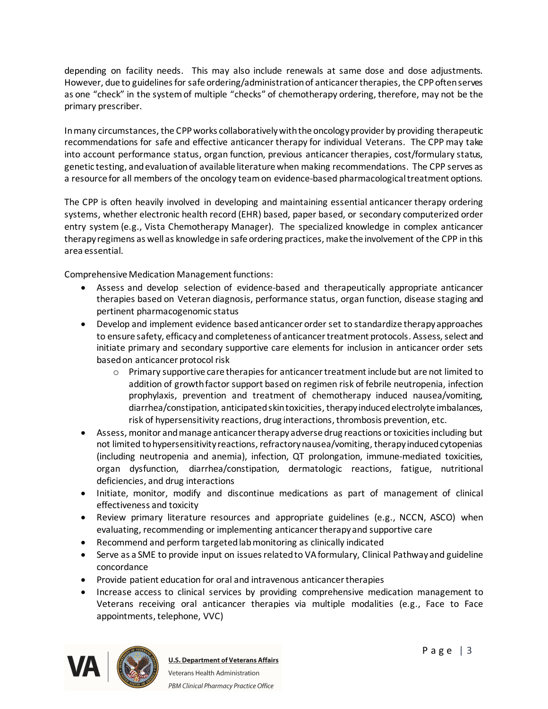depending on facility needs. This may also include renewals at same dose and dose adjustments. However, due to guidelines for safe ordering/administration of anticancer therapies, the CPPoften serves as one "check" in the system of multiple "checks" of chemotherapy ordering, therefore, may not be the primary prescriber.

In many circumstances, the CPPworks collaboratively with the oncology provider by providing therapeutic recommendations for safe and effective anticancer therapy for individual Veterans. The CPP may take into account performance status, organ function, previous anticancer therapies, cost/formulary status, genetic testing, and evaluation of available literature when making recommendations. The CPP serves as a resource for all members of the oncology team on evidence-based pharmacological treatment options.

The CPP is often heavily involved in developing and maintaining essential anticancer therapy ordering systems, whether electronic health record (EHR) based, paper based, or secondary computerized order entry system (e.g., Vista Chemotherapy Manager). The specialized knowledge in complex anticancer therapy regimens as well as knowledge in safe ordering practices, make the involvement of the CPP in this area essential.

Comprehensive Medication Management functions:

- · Assess and develop selection of evidence-based and therapeutically appropriate anticancer therapies based on Veteran diagnosis, performance status, organ function, disease staging and pertinent pharmacogenomic status
- · Develop and implement evidence based anticancer order set to standardize therapy approaches to ensure safety, efficacy and completeness of anticancer treatment protocols. Assess, select and initiate primary and secondary supportive care elements for inclusion in anticancer order sets based on anticancer protocol risk
	- $\circ$  Primary supportive care therapies for anticancer treatment include but are not limited to addition of growth factor support based on regimen risk of febrile neutropenia, infection prophylaxis, prevention and treatment of chemotherapy induced nausea/vomiting, diarrhea/constipation, anticipated skin toxicities, therapy induced electrolyte imbalances, risk of hypersensitivity reactions, drug interactions, thrombosis prevention, etc.
- · Assess, monitor and manage anticancer therapy adverse drug reactions or toxicities including but not limited to hypersensitivity reactions, refractory nausea/vomiting, therapy induced cytopenias (including neutropenia and anemia), infection, QT prolongation, immune-mediated toxicities, organ dysfunction, diarrhea/constipation, dermatologic reactions, fatigue, nutritional deficiencies, and drug interactions
- · Initiate, monitor, modify and discontinue medications as part of management of clinical effectiveness and toxicity
- · Review primary literature resources and appropriate guidelines (e.g., NCCN, ASCO) when evaluating, recommending or implementing anticancer therapy and supportive care
- · Recommend and perform targeted lab monitoring as clinically indicated
- · Serve as a SME to provide input on issues related to VA formulary, Clinical Pathway and guideline concordance
- · Provide patient education for oral and intravenous anticancer therapies
- · Increase access to clinical services by providing comprehensive medication management to Veterans receiving oral anticancer therapies via multiple modalities (e.g., Face to Face appointments, telephone, VVC)

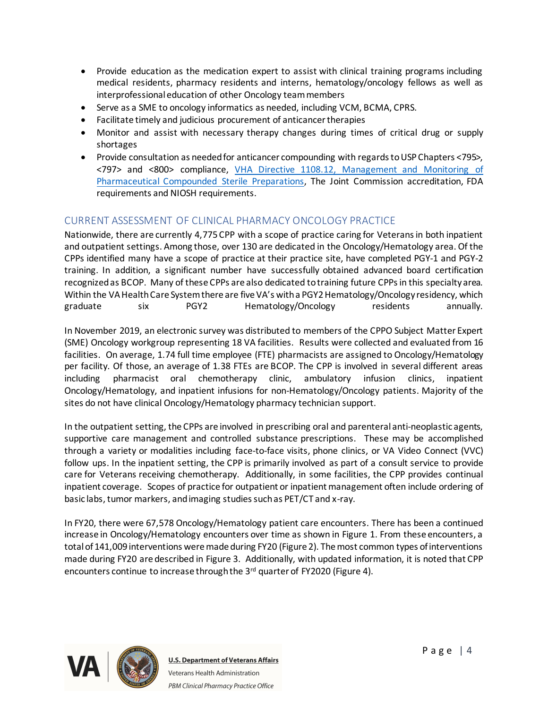- · Provide education as the medication expert to assist with clinical training programs including medical residents, pharmacy residents and interns, hematology/oncology fellows as well as interprofessional education of other Oncology team members
- · Serve as a SME to oncology informatics as needed, including VCM, BCMA, CPRS.
- · Facilitate timely and judicious procurement of anticancer therapies
- · Monitor and assist with necessary therapy changes during times of critical drug or supply shortages
- · Provide consultation as needed for anticancer compounding with regards to USP Chapters <795>, <797> and <800> compliance, [VHA Directive 1108.12, Management and Monitoring of](https://www.va.gov/vhapublications/ViewPublication.asp?pub_ID=8151)  [Pharmaceutical Compounded Sterile Preparations](https://www.va.gov/vhapublications/ViewPublication.asp?pub_ID=8151), The Joint Commission accreditation, FDA requirements and NIOSH requirements.

## CURRENT ASSESSMENT OF CLINICAL PHARMACY ONCOLOGY PRACTICE

Nationwide, there are currently 4,775 CPP with a scope of practice caring for Veterans in both inpatient and outpatient settings. Among those, over 130 are dedicated in the Oncology/Hematology area. Of the CPPs identified many have a scope of practice at their practice site, have completed PGY-1 and PGY-2 training. In addition, a significant number have successfully obtained advanced board certification recognized as BCOP. Many of these CPPs are also dedicated to training future CPPs in this specialty area. Within the VA Health Care System there are five VA's with a PGY2 Hematology/Oncology residency, which graduate six PGY2 Hematology/Oncology residents annually.

In November 2019, an electronic survey was distributed to members of the CPPO Subject Matter Expert (SME) Oncology workgroup representing 18 VA facilities. Results were collected and evaluated from 16 facilities. On average, 1.74 full time employee (FTE) pharmacists are assigned to Oncology/Hematology per facility. Of those, an average of 1.38 FTEs are BCOP. The CPP is involved in several different areas including pharmacist oral chemotherapy clinic, ambulatory infusion clinics, inpatient Oncology/Hematology, and inpatient infusions for non-Hematology/Oncology patients. Majority of the sites do not have clinical Oncology/Hematology pharmacy technician support.

In the outpatient setting, the CPPs are involved in prescribing oral and parenteral anti-neoplastic agents, supportive care management and controlled substance prescriptions. These may be accomplished through a variety or modalities including face-to-face visits, phone clinics, or VA Video Connect (VVC) follow ups. In the inpatient setting, the CPP is primarily involved as part of a consult service to provide care for Veterans receiving chemotherapy. Additionally, in some facilities, the CPP provides continual inpatient coverage. Scopes of practice for outpatient or inpatient management often include ordering of basic labs, tumor markers, and imaging studies such as PET/CT and x-ray.

In FY20, there were 67,578 Oncology/Hematology patient care encounters. There has been a continued increase in Oncology/Hematology encounters over time as shown in Figure 1. From these encounters, a total of 141,009 interventions were made during FY20 (Figure 2). The most common types of interventions made during FY20 are described in Figure 3. Additionally, with updated information, it is noted that CPP encounters continue to increase through the 3<sup>rd</sup> quarter of FY2020 (Figure 4).

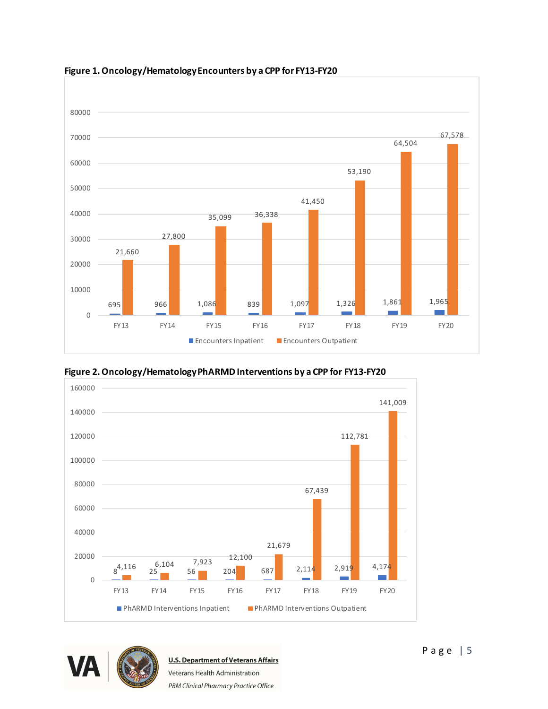

**Figure 1. Oncology/HematologyEncounters by a CPP for FY13-FY20**





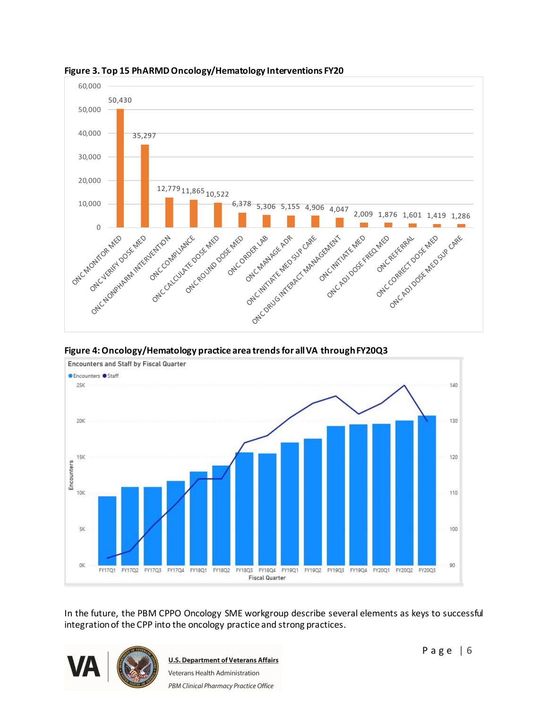

**Figure 3. Top 15 PhARMD Oncology/Hematology Interventions FY20**

**Figure 4: Oncology/Hematology practice area trends for all VA through FY20Q3**



In the future, the PBM CPPO Oncology SME workgroup describe several elements as keys to successful integration of the CPP into the oncology practice and strong practices.



**U.S. Department of Veterans Affairs** Veterans Health Administration PBM Clinical Pharmacy Practice Office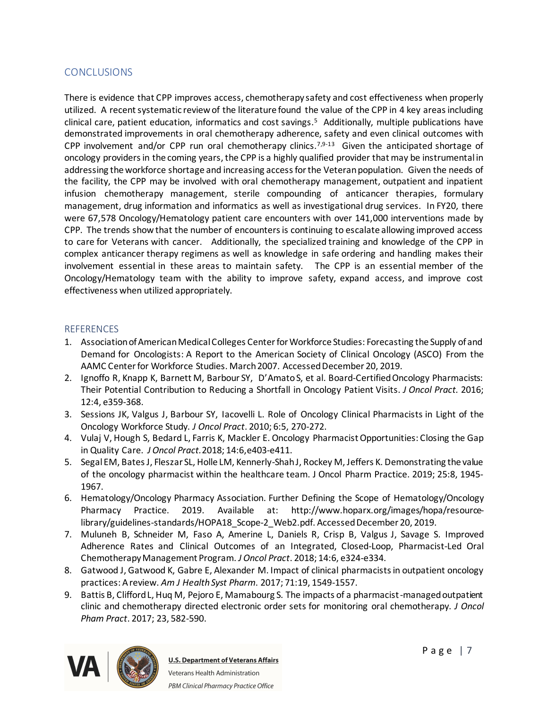#### **CONCLUSIONS**

There is evidence that CPP improves access, chemotherapy safety and cost effectiveness when properly utilized. A recent systematic review of the literature found the value of the CPP in 4 key areas including clinical care, patient education, informatics and cost savings.<sup>5</sup> Additionally, multiple publications have demonstrated improvements in oral chemotherapy adherence, safety and even clinical outcomes with CPP involvement and/or CPP run oral chemotherapy clinics.<sup>7,9-13</sup> Given the anticipated shortage of oncology providers in the coming years, the CPP is a highly qualified provider that may be instrumental in addressing the workforce shortage and increasing access for the Veteran population. Given the needs of the facility, the CPP may be involved with oral chemotherapy management, outpatient and inpatient infusion chemotherapy management, sterile compounding of anticancer therapies, formulary management, drug information and informatics as well as investigational drug services. In FY20, there were 67,578 Oncology/Hematology patient care encounters with over 141,000 interventions made by CPP. The trends show that the number of encounters is continuing to escalate allowing improved access to care for Veterans with cancer. Additionally, the specialized training and knowledge of the CPP in complex anticancer therapy regimens as well as knowledge in safe ordering and handling makes their involvement essential in these areas to maintain safety. The CPP is an essential member of the Oncology/Hematology team with the ability to improve safety, expand access, and improve cost effectiveness when utilized appropriately.

#### **REFERENCES**

- 1. Association of American Medical Colleges Center for Workforce Studies: Forecasting the Supply of and Demand for Oncologists: A Report to the American Society of Clinical Oncology (ASCO) From the AAMC Center for Workforce Studies. March 2007. Accessed December 20, 2019.
- 2. Ignoffo R, Knapp K, Barnett M, Barbour SY, D'Amato S, et al. Board-Certified Oncology Pharmacists: Their Potential Contribution to Reducing a Shortfall in Oncology Patient Visits. *J Oncol Pract.* 2016; 12:4, e359-368.
- 3. Sessions JK, Valgus J, Barbour SY, Iacovelli L. Role of Oncology Clinical Pharmacists in Light of the Oncology Workforce Study. *J Oncol Pract*. 2010; 6:5, 270-272.
- 4. Vulaj V, Hough S, Bedard L, Farris K, Mackler E. Oncology Pharmacist Opportunities: Closing the Gap in Quality Care. *J Oncol Pract.*2018; 14:6,e403-e411.
- 5. Segal EM, Bates J, Fleszar SL, Holle LM, Kennerly-Shah J, Rockey M, Jeffers K. Demonstrating the value of the oncology pharmacist within the healthcare team. J Oncol Pharm Practice. 2019; 25:8, 1945- 1967.
- 6. Hematology/Oncology Pharmacy Association. Further Defining the Scope of Hematology/Oncology Pharmacy Practice. 2019. Available at: http://www.hoparx.org/images/hopa/resourcelibrary/guidelines-standards/HOPA18\_Scope-2\_Web2.pdf. Accessed December 20, 2019.
- 7. Muluneh B, Schneider M, Faso A, Amerine L, Daniels R, Crisp B, Valgus J, Savage S. Improved Adherence Rates and Clinical Outcomes of an Integrated, Closed-Loop, Pharmacist-Led Oral Chemotherapy Management Program. *J Oncol Pract*. 2018; 14:6, e324-e334.
- 8. Gatwood J, Gatwood K, Gabre E, Alexander M. Impact of clinical pharmacists in outpatient oncology practices: A review. *Am J Health Syst Pharm*. 2017; 71:19, 1549-1557.
- 9. Battis B, Clifford L, Huq M, Pejoro E, Mamabourg S. The impacts of a pharmacist-managed outpatient clinic and chemotherapy directed electronic order sets for monitoring oral chemotherapy. *J Oncol Pham Pract*. 2017; 23, 582-590.